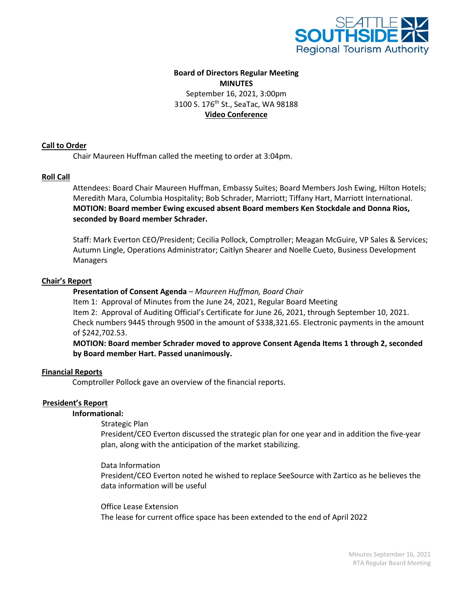

# **Board of Directors Regular Meeting MINUTES** September 16, 2021, 3:00pm 3100 S. 176<sup>th</sup> St., SeaTac, WA 98188 **Video Conference**

## **Call to Order**

Chair Maureen Huffman called the meeting to order at 3:04pm.

## **Roll Call**

 Attendees: Board Chair Maureen Huffman, Embassy Suites; Board Members Josh Ewing, Hilton Hotels; Meredith Mara, Columbia Hospitality; Bob Schrader, Marriott; Tiffany Hart, Marriott International. **MOTION: Board member Ewing excused absent Board members Ken Stockdale and Donna Rios, seconded by Board member Schrader.** 

Staff: Mark Everton CEO/President; Cecilia Pollock, Comptroller; Meagan McGuire, VP Sales & Services; Autumn Lingle, Operations Administrator; Caitlyn Shearer and Noelle Cueto, Business Development Managers

## **Chair's Report**

**Presentation of Consent Agenda** *– Maureen Huffman, Board Chair* Item 1: Approval of Minutes from the June 24, 2021, Regular Board Meeting Item 2: Approval of Auditing Official's Certificate for June 26, 2021, through September 10, 2021. Check numbers 9445 through 9500 in the amount of \$338,321.65. Electronic payments in the amount of \$242,702.53.

 **MOTION: Board member Schrader moved to approve Consent Agenda Items 1 through 2, seconded by Board member Hart. Passed unanimously.**

### **Financial Reports**

Comptroller Pollock gave an overview of the financial reports.

## **President's Report**

### **Informational:**

### Strategic Plan

President/CEO Everton discussed the strategic plan for one year and in addition the five-year plan, along with the anticipation of the market stabilizing.

Data Information

President/CEO Everton noted he wished to replace SeeSource with Zartico as he believes the data information will be useful

Office Lease Extension The lease for current office space has been extended to the end of April 2022